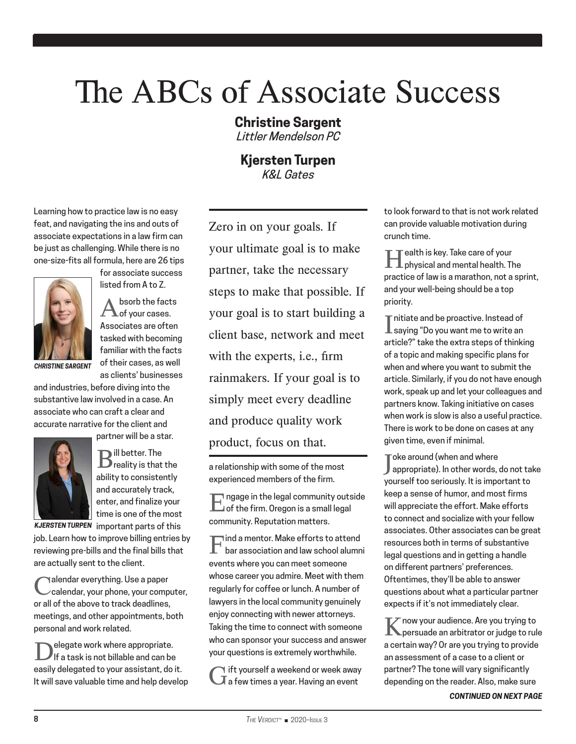## The ABCs of Associate Success

## **Christine Sargent**

*Littler Mendelson PC*

**Kjersten Turpen** *K&L Gates*

Learning how to practice law is no easy feat, and navigating the ins and outs of associate expectations in a law firm can be just as challenging. While there is no one-size-fits all formula, here are 26 tips



for associate success listed from A to Z.

 $\mathbf{A}^{\mathsf{bsorb}}$  the facts of your cases. Associates are often tasked with becoming familiar with the facts of their cases, as well as clients' businesses

and industries, before diving into the substantive law involved in a case. An associate who can craft a clear and accurate narrative for the client and partner will be a star.



 $\mathbf{B}^{\text{ill better.} \text{The}}$  reality is that the ability to consistently and accurately track, enter, and finalize your time is one of the most

*KJERSTEN TURPEN* important parts of this

job. Learn how to improve billing entries by reviewing pre-bills and the final bills that are actually sent to the client.

Calendar everything. Use a paper<br>Calendar, your phone, your computer, or all of the above to track deadlines, meetings, and other appointments, both personal and work related.

Delegate work where appropriate.<br>Dif a task is not billable and can be easily delegated to your assistant, do it. It will save valuable time and help develop

Zero in on your goals. If your ultimate goal is to make partner, take the necessary steps to make that possible. If your goal is to start building a client base, network and meet with the experts, i.e., firm rainmakers. If your goal is to simply meet every deadline and produce quality work product, focus on that.

a relationship with some of the most experienced members of the firm.

Engage in the legal community outside of the firm. Oregon is a small legal community. Reputation matters.

 $\begin{array}{cl} \prod \text{ind a menor. Make efforts to attend} \\ \text{bar association and law school aluminum} \end{array}$ events where you can meet someone whose career you admire. Meet with them regularly for coffee or lunch. A number of lawyers in the local community genuinely enjoy connecting with newer attorneys. Taking the time to connect with someone who can sponsor your success and answer your questions is extremely worthwhile.

Gift yourself a weekend or week away a few times a year. Having an event

to look forward to that is not work related can provide valuable motivation during crunch time.

Health is key. Take care of your physical and mental health. The practice of law is a marathon, not a sprint, and your well-being should be a top priority.

 $\prod \begin{array}{l} \text{mitiate and be practice. Instead of} \\ \text{saying ``Do you want me to write an} \end{array}$ nitiate and be proactive. Instead of article?" take the extra steps of thinking of a topic and making specific plans for when and where you want to submit the article. Similarly, if you do not have enough work, speak up and let your colleagues and partners know. Taking initiative on cases when work is slow is also a useful practice. There is work to be done on cases at any given time, even if minimal.

J appropriate). In other words, do not take  $\sqrt{\phantom{a}}$ oke around (when and where yourself too seriously. It is important to keep a sense of humor, and most firms will appreciate the effort. Make efforts to connect and socialize with your fellow associates. Other associates can be great resources both in terms of substantive legal questions and in getting a handle on different partners' preferences. Oftentimes, they'll be able to answer questions about what a particular partner expects if it's not immediately clear.

Know your audience. Are you trying to persuade an arbitrator or judge to rule a certain way? Or are you trying to provide an assessment of a case to a client or partner? The tone will vary significantly depending on the reader. Also, make sure